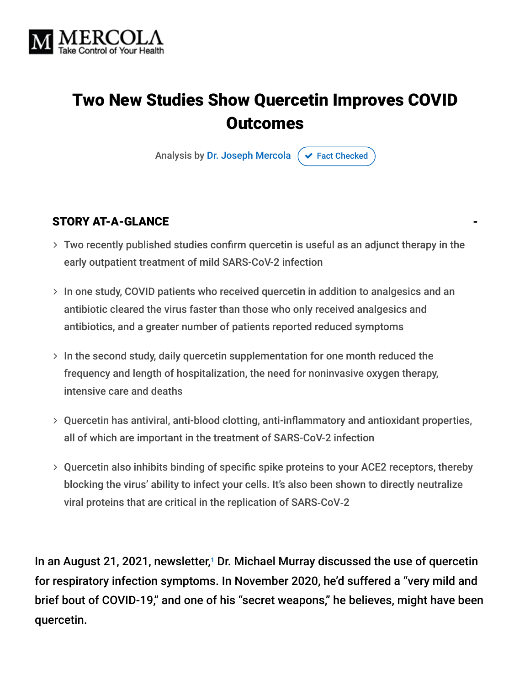

# Two New Studies Show Quercetin Improves COVID **Outcomes**

Analysis by [Dr. Joseph Mercola](https://www.mercola.com/forms/background.htm)  $\phi$  [Fact Checked](javascript:void(0))

#### STORY AT-A-GLANCE

- Two recently published studies confirm quercetin is useful as an adjunct therapy in the early outpatient treatment of mild SARS-CoV-2 infection
- $>$  In one study, COVID patients who received quercetin in addition to analgesics and an antibiotic cleared the virus faster than those who only received analgesics and antibiotics, and a greater number of patients reported reduced symptoms
- $>$  In the second study, daily quercetin supplementation for one month reduced the frequency and length of hospitalization, the need for noninvasive oxygen therapy, intensive care and deaths
- Quercetin has antiviral, anti-blood clotting, anti-inflammatory and antioxidant properties, all of which are important in the treatment of SARS-CoV-2 infection
- Quercetin also inhibits binding of specific spike proteins to your ACE2 receptors, thereby blocking the virus' ability to infect your cells. It's also been shown to directly neutralize viral proteins that are critical in the replication of SARS‐CoV‐2

In an August 21, 2021, newsletter, $1$  Dr. Michael Murray discussed the use of quercetin for respiratory infection symptoms. In November 2020, he'd suffered a "very mild and brief bout of COVID-19," and one of his "secret weapons," he believes, might have been quercetin.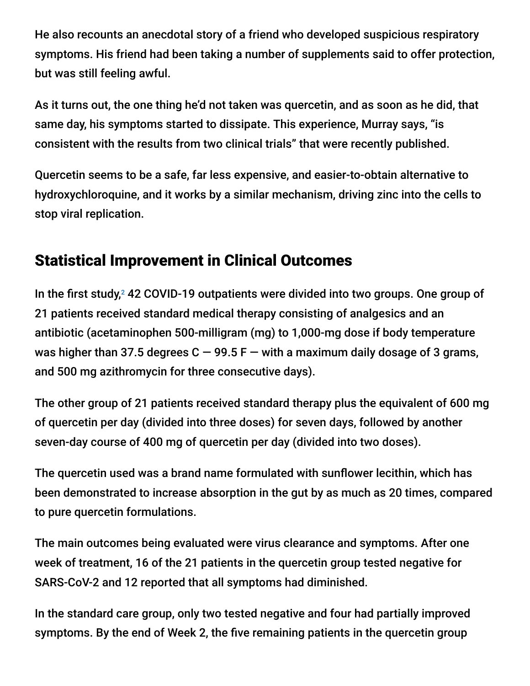He also recounts an anecdotal story of a friend who developed suspicious respiratory symptoms. His friend had been taking a number of supplements said to offer protection, but was still feeling awful.

As it turns out, the one thing he'd not taken was quercetin, and as soon as he did, that same day, his symptoms started to dissipate. This experience, Murray says, "is consistent with the results from two clinical trials" that were recently published.

Quercetin seems to be a safe, far less expensive, and easier-to-obtain alternative to hydroxychloroquine, and it works by a similar mechanism, driving zinc into the cells to stop viral replication.

### Statistical Improvement in Clinical Outcomes

In the first study,<sup>2</sup> 42 COVID-19 outpatients were divided into two groups. One group of 21 patients received standard medical therapy consisting of analgesics and an antibiotic (acetaminophen 500-milligram (mg) to 1,000-mg dose if body temperature was higher than 37.5 degrees  $C - 99.5 F -$  with a maximum daily dosage of 3 grams, and 500 mg azithromycin for three consecutive days).

The other group of 21 patients received standard therapy plus the equivalent of 600 mg of quercetin per day (divided into three doses) for seven days, followed by another seven-day course of 400 mg of quercetin per day (divided into two doses).

The quercetin used was a brand name formulated with sunflower lecithin, which has been demonstrated to increase absorption in the gut by as much as 20 times, compared to pure quercetin formulations.

The main outcomes being evaluated were virus clearance and symptoms. After one week of treatment, 16 of the 21 patients in the quercetin group tested negative for SARS-CoV-2 and 12 reported that all symptoms had diminished.

In the standard care group, only two tested negative and four had partially improved symptoms. By the end of Week 2, the five remaining patients in the quercetin group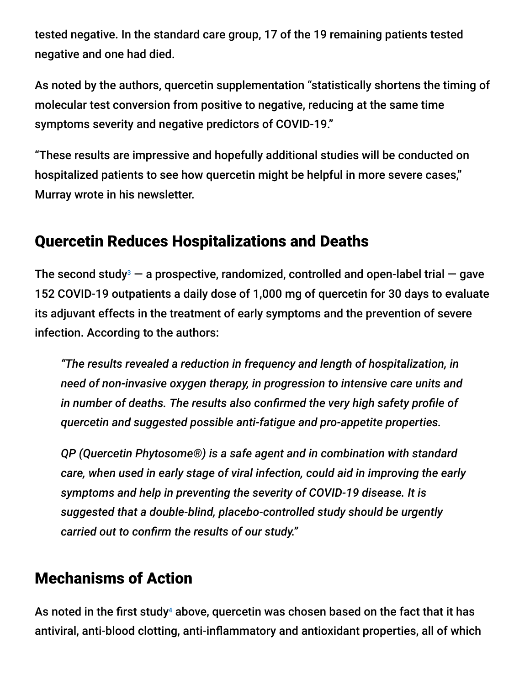tested negative. In the standard care group, 17 of the 19 remaining patients tested negative and one had died.

As noted by the authors, quercetin supplementation "statistically shortens the timing of molecular test conversion from positive to negative, reducing at the same time symptoms severity and negative predictors of COVID-19."

"These results are impressive and hopefully additional studies will be conducted on hospitalized patients to see how quercetin might be helpful in more severe cases," Murray wrote in his newsletter.

### Quercetin Reduces Hospitalizations and Deaths

The second study<sup>3</sup>  $-$  a prospective, randomized, controlled and open-label trial  $-$  gave 152 COVID-19 outpatients a daily dose of 1,000 mg of quercetin for 30 days to evaluate its adjuvant effects in the treatment of early symptoms and the prevention of severe infection. According to the authors:

*"The results revealed a reduction in frequency and length of hospitalization, in need of non-invasive oxygen therapy, in progression to intensive care units and in number of deaths. The results also confirmed the very high safety profile of quercetin and suggested possible anti-fatigue and pro-appetite properties.*

*QP (Quercetin Phytosome®) is a safe agent and in combination with standard care, when used in early stage of viral infection, could aid in improving the early symptoms and help in preventing the severity of COVID-19 disease. It is suggested that a double-blind, placebo-controlled study should be urgently carried out to confirm the results of our study."*

### Mechanisms of Action

As noted in the first study $^4$  above, quercetin was chosen based on the fact that it has antiviral, anti-blood clotting, anti-inflammatory and antioxidant properties, all of which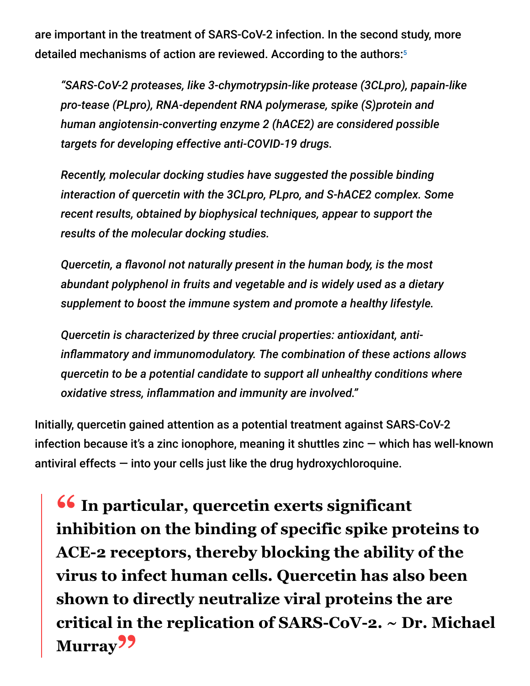are important in the treatment of SARS-CoV-2 infection. In the second study, more detailed mechanisms of action are reviewed. According to the authors: 5

*"SARS-CoV-2 proteases, like 3-chymotrypsin-like protease (3CLpro), papain-like pro-tease (PLpro), RNA-dependent RNA polymerase, spike (S)protein and human angiotensin-converting enzyme 2 (hACE2) are considered possible targets for developing effective anti-COVID-19 drugs.*

*Recently, molecular docking studies have suggested the possible binding interaction of quercetin with the 3CLpro, PLpro, and S-hACE2 complex. Some recent results, obtained by biophysical techniques, appear to support the results of the molecular docking studies.*

*Quercetin, a flavonol not naturally present in the human body, is the most abundant polyphenol in fruits and vegetable and is widely used as a dietary supplement to boost the immune system and promote a healthy lifestyle.*

*Quercetin is characterized by three crucial properties: antioxidant, antiinflammatory and immunomodulatory. The combination of these actions allows quercetin to be a potential candidate to support all unhealthy conditions where oxidative stress, inflammation and immunity are involved."*

Initially, quercetin gained attention as a potential treatment against SARS-CoV-2 infection because it's a zinc ionophore, meaning it shuttles zinc  $-$  which has well-known antiviral effects  $-$  into your cells just like the drug hydroxychloroquine.

**<sup>66</sup>** In particular, quercetin exerts significant **inhibition** on the binding of specific spike pro **inhibition on the binding of specific spike proteins to ACE-2 receptors, thereby blocking the ability of the virus to infect human cells. Quercetin has also been shown to directly neutralize viral proteins the are critical in the replication of SARS-CoV-2. ~ Dr. Michael Murray"**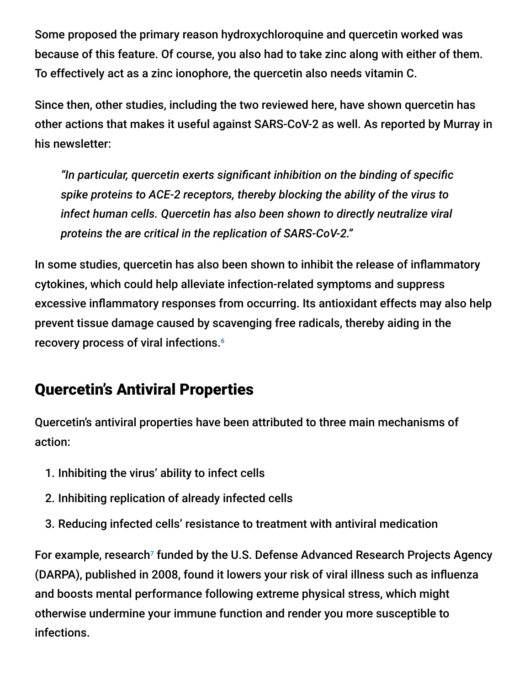Some proposed the primary reason hydroxychloroquine and quercetin worked was because of this feature. Of course, you also had to take zinc along with either of them. To effectively act as a zinc ionophore, the quercetin also needs vitamin C.

Since then, other studies, including the two reviewed here, have shown quercetin has other actions that makes it useful against SARS-CoV-2 as well. As reported by Murray in his newsletter:

*"In particular, quercetin exerts significant inhibition on the binding of specific spike proteins to ACE-2 receptors, thereby blocking the ability of the virus to infect human cells. Quercetin has also been shown to directly neutralize viral proteins the are critical in the replication of SARS-CoV-2."*

In some studies, quercetin has also been shown to inhibit the release of inflammatory cytokines, which could help alleviate infection-related symptoms and suppress excessive inflammatory responses from occurring. Its antioxidant effects may also help prevent tissue damage caused by scavenging free radicals, thereby aiding in the recovery process of viral infections. 6

### Quercetin's Antiviral Properties

Quercetin's antiviral properties have been attributed to three main mechanisms of action:

- 1. Inhibiting the virus' ability to infect cells
- 2. Inhibiting replication of already infected cells
- 3. Reducing infected cells' resistance to treatment with antiviral medication

For example, research<sup>7</sup> funded by the U.S. Defense Advanced Research Projects Agency (DARPA), published in 2008, found it lowers your risk of viral illness such as influenza and boosts mental performance following extreme physical stress, which might otherwise undermine your immune function and render you more susceptible to infections.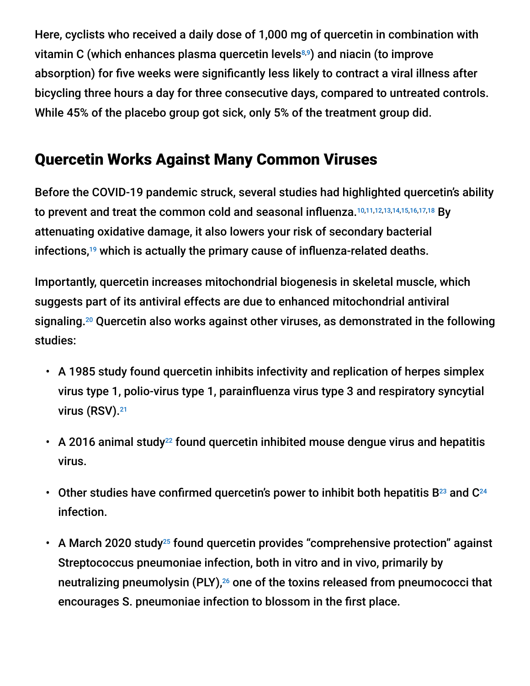Here, cyclists who received a daily dose of 1,000 mg of quercetin in combination with vitamin C (which enhances plasma quercetin levels8,9) and niacin (to improve absorption) for five weeks were significantly less likely to contract a viral illness after bicycling three hours a day for three consecutive days, compared to untreated controls. While 45% of the placebo group got sick, only 5% of the treatment group did.

### Quercetin Works Against Many Common Viruses

Before the COVID-19 pandemic struck, several studies had highlighted quercetin's ability to prevent and treat the common cold and seasonal influenza.<sup>10,11,12,13,14,15,16,17,18</sup> By attenuating oxidative damage, it also lowers your risk of secondary bacterial infections, $19$  which is actually the primary cause of influenza-related deaths.

Importantly, quercetin increases mitochondrial biogenesis in skeletal muscle, which suggests part of its antiviral effects are due to enhanced mitochondrial antiviral signaling.<sup>20</sup> Quercetin also works against other viruses, as demonstrated in the following studies:

- A 1985 study found quercetin inhibits infectivity and replication of herpes simplex virus type 1, polio-virus type 1, parainfluenza virus type 3 and respiratory syncytial virus (RSV). 21
- A 2016 animal study<sup>22</sup> found quercetin inhibited mouse dengue virus and hepatitis virus.
- Other studies have confirmed quercetin's power to inhibit both hepatitis B<sup>23</sup> and C<sup>24</sup> infection.
- A March 2020 study<sup>25</sup> found quercetin provides "comprehensive protection" against Streptococcus pneumoniae infection, both in vitro and in vivo, primarily by neutralizing pneumolysin (PLY), $^{26}$  one of the toxins released from pneumococci that encourages S. pneumoniae infection to blossom in the first place.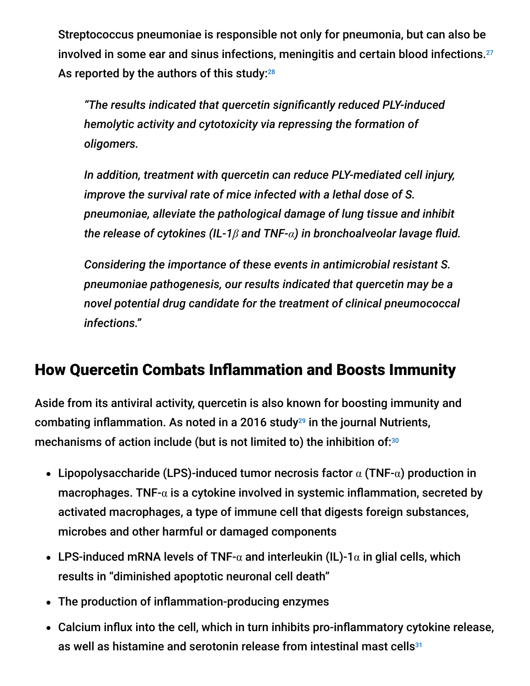Streptococcus pneumoniae is responsible not only for pneumonia, but can also be involved in some ear and sinus infections, meningitis and certain blood infections. 27 As reported by the authors of this study: $^{28}$ 

*"The results indicated that quercetin significantly reduced PLY-induced hemolytic activity and cytotoxicity via repressing the formation of oligomers.*

*In addition, treatment with quercetin can reduce PLY-mediated cell injury, improve the survival rate of mice infected with a lethal dose of S. pneumoniae, alleviate the pathological damage of lung tissue and inhibit the release of cytokines (IL-1β and TNF-α) in bronchoalveolar lavage fluid.*

*Considering the importance of these events in antimicrobial resistant S. pneumoniae pathogenesis, our results indicated that quercetin may be a novel potential drug candidate for the treatment of clinical pneumococcal infections."*

### How Quercetin Combats Inflammation and Boosts Immunity

Aside from its antiviral activity, quercetin is also known for boosting immunity and combating inflammation. As noted in a 2016 study $^{29}$  in the journal Nutrients, mechanisms of action include (but is not limited to) the inhibition of: $30$ 

- Lipopolysaccharide (LPS)-induced tumor necrosis factor  $\alpha$  (TNF- $\alpha$ ) production in macrophages. TNF- $\alpha$  is a cytokine involved in systemic inflammation, secreted by activated macrophages, a type of immune cell that digests foreign substances, microbes and other harmful or damaged components
- LPS-induced mRNA levels of TNF- $\alpha$  and interleukin (IL)-1 $\alpha$  in glial cells, which results in "diminished apoptotic neuronal cell death"
- The production of inflammation-producing enzymes
- Calcium influx into the cell, which in turn inhibits pro-inflammatory cytokine release, as well as histamine and serotonin release from intestinal mast cells $^{31}$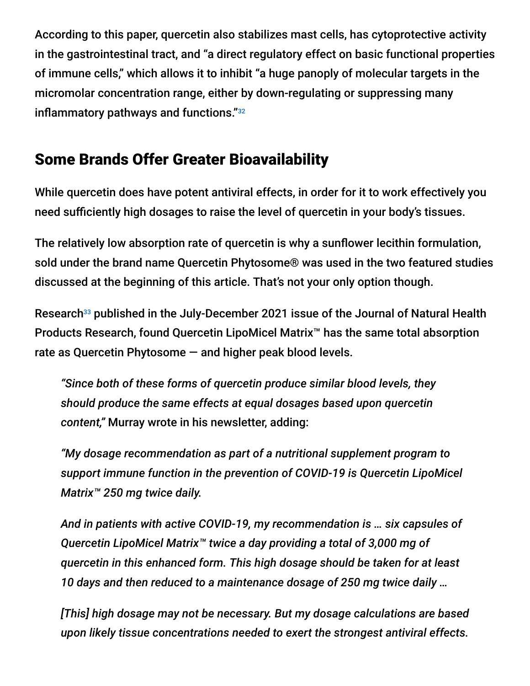According to this paper, quercetin also stabilizes mast cells, has cytoprotective activity in the gastrointestinal tract, and "a direct regulatory effect on basic functional properties of immune cells," which allows it to inhibit "a huge panoply of molecular targets in the micromolar concentration range, either by down-regulating or suppressing many inflammatory pathways and functions." 32

## Some Brands Offer Greater Bioavailability

While quercetin does have potent antiviral effects, in order for it to work effectively you need sufficiently high dosages to raise the level of quercetin in your body's tissues.

The relatively low absorption rate of quercetin is why a sunflower lecithin formulation, sold under the brand name Quercetin Phytosome® was used in the two featured studies discussed at the beginning of this article. That's not your only option though.

Research<sup>33</sup> published in the July-December 2021 issue of the Journal of Natural Health Products Research, found Quercetin LipoMicel Matrix™ has the same total absorption rate as Quercetin Phytosome — and higher peak blood levels.

*"Since both of these forms of quercetin produce similar blood levels, they should produce the same effects at equal dosages based upon quercetin content,"* Murray wrote in his newsletter, adding:

*"My dosage recommendation as part of a nutritional supplement program to support immune function in the prevention of COVID-19 is Quercetin LipoMicel Matrix™ 250 mg twice daily.*

*And in patients with active COVID-19, my recommendation is … six capsules of Quercetin LipoMicel Matrix™ twice a day providing a total of 3,000 mg of quercetin in this enhanced form. This high dosage should be taken for at least 10 days and then reduced to a maintenance dosage of 250 mg twice daily …*

*[This] high dosage may not be necessary. But my dosage calculations are based upon likely tissue concentrations needed to exert the strongest antiviral effects.*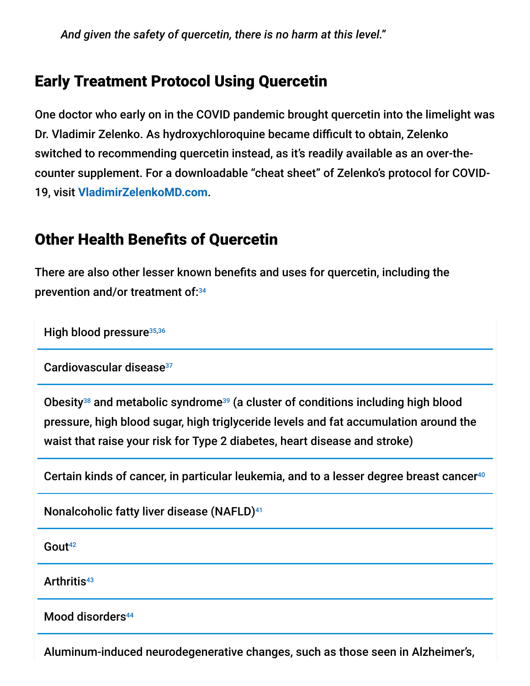*And given the safety of quercetin, there is no harm at this level."*

### Early Treatment Protocol Using Quercetin

One doctor who early on in the COVID pandemic brought quercetin into the limelight was Dr. Vladimir Zelenko. As hydroxychloroquine became difficult to obtain, Zelenko switched to recommending quercetin instead, as it's readily available as an over-thecounter supplement. For a downloadable "cheat sheet" of Zelenko's protocol for COVID-19, visit **[VladimirZelenkoMD.com](https://vladimirzelenkomd.com/)**.

### Other Health Benefits of Quercetin

There are also other lesser known benefits and uses for quercetin, including the prevention and/or treatment of: 34

High blood pressure<sup>35,36</sup>

Cardiovascular disease 37

Obesity<sup>38</sup> and metabolic syndrome<sup>39</sup> (a cluster of conditions including high blood pressure, high blood sugar, high triglyceride levels and fat accumulation around the waist that raise your risk for Type 2 diabetes, heart disease and stroke)

Certain kinds of cancer, in particular leukemia, and to a lesser degree breast cancer 40

Nonalcoholic fatty liver disease (NAFLD) 41

Gout 42

Arthritis 43

Mood disorders<sup>44</sup>

Aluminum-induced neurodegenerative changes, such as those seen in Alzheimer's,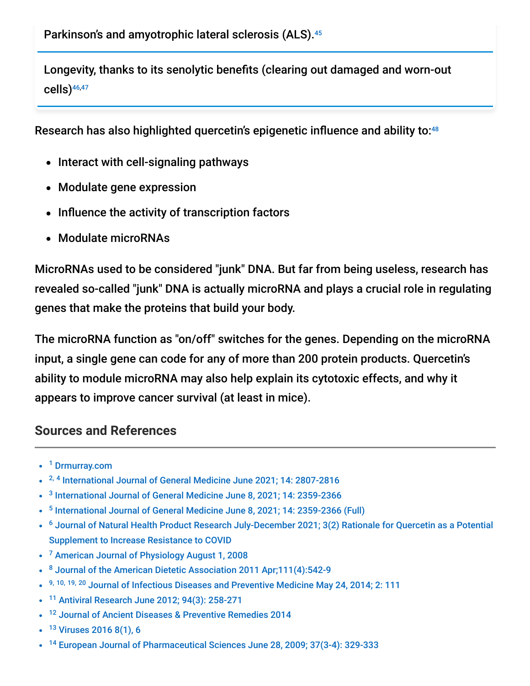Longevity, thanks to its senolytic benefits (clearing out damaged and worn-out cells) 46,47

Research has also highlighted quercetin's epigenetic influence and ability to: 48

- Interact with cell-signaling pathways
- Modulate gene expression
- Influence the activity of transcription factors
- Modulate microRNAs

MicroRNAs used to be considered "junk" DNA. But far from being useless, research has revealed so-called "junk" DNA is actually microRNA and plays a crucial role in regulating genes that make the proteins that build your body.

The microRNA function as "on/off" switches for the genes. Depending on the microRNA input, a single gene can code for any of more than 200 protein products. Quercetin's ability to module microRNA may also help explain its cytotoxic effects, and why it appears to improve cancer survival (at least in mice).

#### **Sources and References**

- <sup>1</sup> [Drmurray.com](https://doctormurray.com/most-recent/)
- <sup>2, 4</sup> [International Journal of General Medicine June 2021; 14: 2807-2816](https://www.ncbi.nlm.nih.gov/pmc/articles/PMC8238537/)
- <sup>3</sup> [International Journal of General Medicine June 8, 2021; 14: 2359-2366](https://pubmed.ncbi.nlm.nih.gov/34135619/)
- <sup>5</sup> [International Journal of General Medicine June 8, 2021; 14: 2359-2366 \(Full\)](https://www.ncbi.nlm.nih.gov/pmc/articles/PMC8197660/)
- <sup>6</sup> [Journal of Natural Health Product Research July-December 2021; 3\(2\) Rationale for Quercetin as a Potential](https://www.dropbox.com/s/y8z5goim3eatwc8/Quercetin%20Abstract%20for%20NHPRS_JS.pdf?dl=0) Supplement to Increase Resistance to COVID
- <sup>7</sup> [American Journal of Physiology August 1, 2008](https://journals.physiology.org/doi/full/10.1152/ajpregu.90319.2008?hits=10&HITS=10&author1=McClellan%2C+JL&sortspec=relevance&searchid=1&maxtoshow=&FIRSTINDEX=0&resourcetype=HWCIT&RESULTFORMAT=)
- <sup>8</sup> [Journal of the American Dietetic Association 2011 Apr;111\(4\):542-9](https://pubmed.ncbi.nlm.nih.gov/21443986/)
- 9, 10, 19, 20 [Journal of Infectious Diseases and Preventive Medicine May 24, 2014; 2: 111](https://www.omicsonline.org/open-access/quercetin-a-promising-treatment-for-the-common-cold-2329-8731.1000111.php?aid=26296)
- <sup>11</sup> [Antiviral Research June 2012; 94\(3\): 258-271](https://www.sciencedirect.com/science/article/pii/S0166354212000630)  $\bullet$
- <sup>12</sup> [Journal of Ancient Diseases & Preventive Remedies 2014](https://citeseerx.ist.psu.edu/viewdoc/download?doi=10.1.1.913.2817&rep=rep1&type=pdf)
- <sup>13</sup> [Viruses 2016 8\(1\), 6](https://www.mdpi.com/1999-4915/8/1/6)
- <sup>14</sup> [European Journal of Pharmaceutical Sciences June 28, 2009; 37\(3-4\): 329-333](https://www.sciencedirect.com/science/article/abs/pii/S0928098709000761)